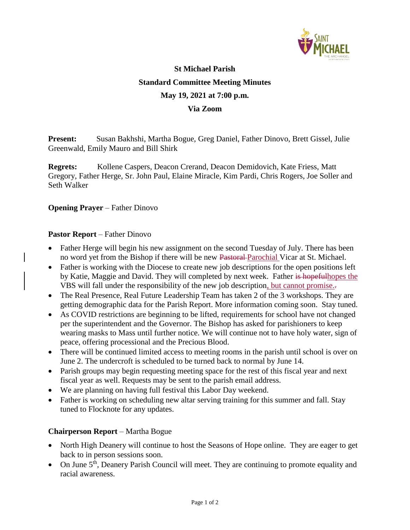

# **St Michael Parish Standard Committee Meeting Minutes May 19, 2021 at 7:00 p.m. Via Zoom**

**Present:** Susan Bakhshi, Martha Bogue, Greg Daniel, Father Dinovo, Brett Gissel, Julie Greenwald, Emily Mauro and Bill Shirk

**Regrets:** Kollene Caspers, Deacon Crerand, Deacon Demidovich, Kate Friess, Matt Gregory, Father Herge, Sr. John Paul, Elaine Miracle, Kim Pardi, Chris Rogers, Joe Soller and Seth Walker

**Opening Prayer** – Father Dinovo

### **Pastor Report** – Father Dinovo

- Father Herge will begin his new assignment on the second Tuesday of July. There has been no word yet from the Bishop if there will be new Pastoral Parochial Vicar at St. Michael.
- Father is working with the Diocese to create new job descriptions for the open positions left by Katie, Maggie and David. They will completed by next week. Father is hopefulhopes the VBS will fall under the responsibility of the new job description, but cannot promise..
- The Real Presence, Real Future Leadership Team has taken 2 of the 3 workshops. They are getting demographic data for the Parish Report. More information coming soon. Stay tuned.
- As COVID restrictions are beginning to be lifted, requirements for school have not changed per the superintendent and the Governor. The Bishop has asked for parishioners to keep wearing masks to Mass until further notice. We will continue not to have holy water, sign of peace, offering processional and the Precious Blood.
- There will be continued limited access to meeting rooms in the parish until school is over on June 2. The undercroft is scheduled to be turned back to normal by June 14.
- Parish groups may begin requesting meeting space for the rest of this fiscal year and next fiscal year as well. Requests may be sent to the parish email address.
- We are planning on having full festival this Labor Day weekend.
- Father is working on scheduling new altar serving training for this summer and fall. Stay tuned to Flocknote for any updates.

#### **Chairperson Report** – Martha Bogue

- North High Deanery will continue to host the Seasons of Hope online. They are eager to get back to in person sessions soon.
- $\bullet$  On June  $5<sup>th</sup>$ , Deanery Parish Council will meet. They are continuing to promote equality and racial awareness.